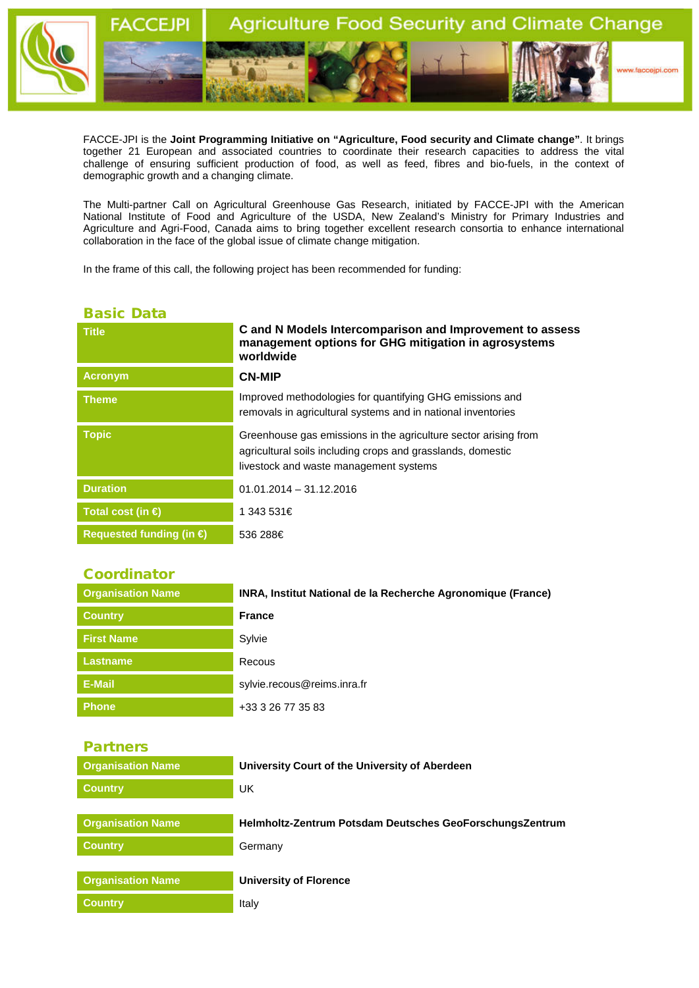

FACCE-JPI is the **Joint Programming Initiative on "Agriculture, Food security and Climate change"**. It brings together 21 European and associated countries to coordinate their research capacities to address the vital challenge of ensuring sufficient production of food, as well as feed, fibres and bio-fuels, in the context of demographic growth and a changing climate.

The Multi-partner Call on Agricultural Greenhouse Gas Research, initiated by FACCE-JPI with the American National Institute of Food and Agriculture of the USDA, New Zealand's Ministry for Primary Industries and Agriculture and Agri-Food, Canada aims to bring together excellent research consortia to enhance international collaboration in the face of the global issue of climate change mitigation.

In the frame of this call, the following project has been recommended for funding:

## Basic Data

| <b>Title</b>                      | C and N Models Intercomparison and Improvement to assess<br>management options for GHG mitigation in agrosystems<br>worldwide                                            |
|-----------------------------------|--------------------------------------------------------------------------------------------------------------------------------------------------------------------------|
| <b>Acronym</b>                    | <b>CN-MIP</b>                                                                                                                                                            |
| <b>Theme</b>                      | Improved methodologies for quantifying GHG emissions and<br>removals in agricultural systems and in national inventories                                                 |
| <b>Topic</b>                      | Greenhouse gas emissions in the agriculture sector arising from<br>agricultural soils including crops and grasslands, domestic<br>livestock and waste management systems |
| <b>Duration</b>                   | $01.01.2014 - 31.12.2016$                                                                                                                                                |
| Total cost (in $\bigoplus$        | 1 343 531€                                                                                                                                                               |
| Requested funding (in $\bigoplus$ | 536 288€                                                                                                                                                                 |

## **Coordinator**

| <b>Organisation Name</b> | INRA, Institut National de la Recherche Agronomique (France) |
|--------------------------|--------------------------------------------------------------|
| <b>Country</b>           | <b>France</b>                                                |
| <b>First Name</b>        | Sylvie                                                       |
| <b>Lastname</b>          | Recous                                                       |
| E-Mail                   | sylvie.recous@reims.inra.fr                                  |
| <b>Phone</b>             | +33 3 26 77 35 83                                            |

Partners

| <b>Organisation Name</b> | University Court of the University of Aberdeen           |
|--------------------------|----------------------------------------------------------|
| <b>Country</b>           | UK                                                       |
|                          |                                                          |
| <b>Organisation Name</b> | Helmholtz-Zentrum Potsdam Deutsches GeoForschungsZentrum |
| <b>Country</b>           | Germany                                                  |
|                          |                                                          |
| <b>Organisation Name</b> | <b>University of Florence</b>                            |
| <b>Country</b>           | Italy                                                    |